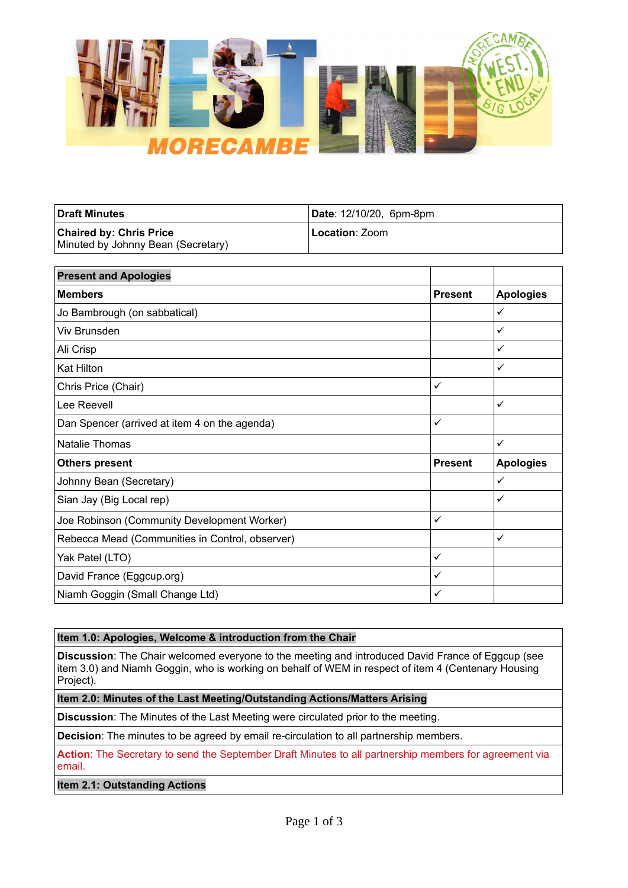

| <b>Draft Minutes</b>                                                 | Date: 12/10/20, 6pm-8pm |
|----------------------------------------------------------------------|-------------------------|
| <b>Chaired by: Chris Price</b><br>Minuted by Johnny Bean (Secretary) | Location: Zoom          |

| <b>Present and Apologies</b>                    |                |                  |
|-------------------------------------------------|----------------|------------------|
| <b>Members</b>                                  | <b>Present</b> | <b>Apologies</b> |
| Jo Bambrough (on sabbatical)                    |                | $\checkmark$     |
| Viv Brunsden                                    |                | $\checkmark$     |
| Ali Crisp                                       |                | ✓                |
| <b>Kat Hilton</b>                               |                | ✓                |
| Chris Price (Chair)                             | $\checkmark$   |                  |
| Lee Reevell                                     |                | $\checkmark$     |
| Dan Spencer (arrived at item 4 on the agenda)   | $\checkmark$   |                  |
| Natalie Thomas                                  |                | ✓                |
| <b>Others present</b>                           | <b>Present</b> | <b>Apologies</b> |
| Johnny Bean (Secretary)                         |                | ✓                |
| Sian Jay (Big Local rep)                        |                | ✓                |
| Joe Robinson (Community Development Worker)     | $\checkmark$   |                  |
| Rebecca Mead (Communities in Control, observer) |                | ✓                |
| Yak Patel (LTO)                                 | $\checkmark$   |                  |
| David France (Eggcup.org)                       | $\checkmark$   |                  |
| Niamh Goggin (Small Change Ltd)                 | ✓              |                  |

# **Item 1.0: Apologies, Welcome & introduction from the Chair**

**Discussion**: The Chair welcomed everyone to the meeting and introduced David France of Eggcup (see item 3.0) and Niamh Goggin, who is working on behalf of WEM in respect of item 4 (Centenary Housing Project).

## **Item 2.0: Minutes of the Last Meeting/Outstanding Actions/Matters Arising**

**Discussion**: The Minutes of the Last Meeting were circulated prior to the meeting.

**Decision**: The minutes to be agreed by email re-circulation to all partnership members.

**Action**: The Secretary to send the September Draft Minutes to all partnership members for agreement via email.

## **Item 2.1: Outstanding Actions**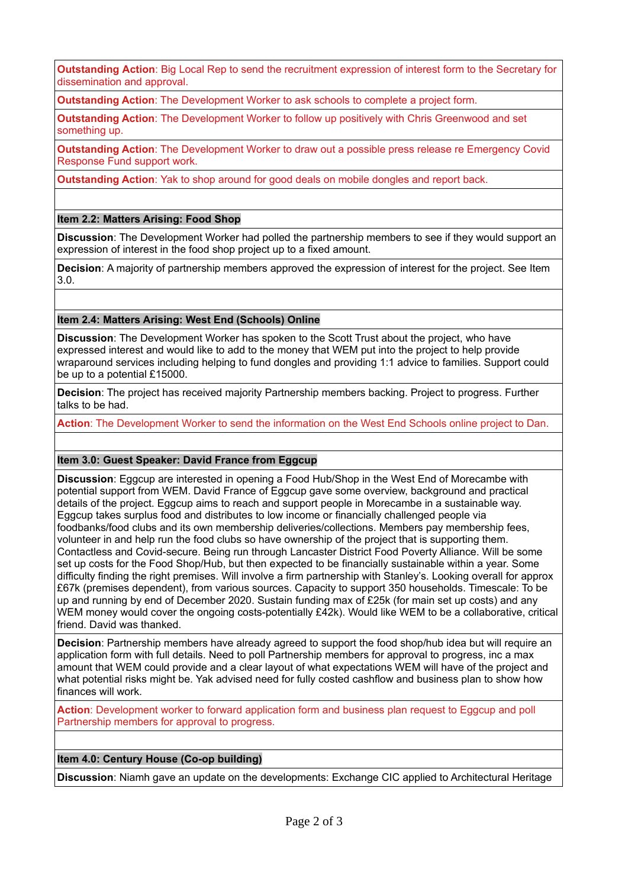**Outstanding Action**: Big Local Rep to send the recruitment expression of interest form to the Secretary for dissemination and approval.

**Outstanding Action**: The Development Worker to ask schools to complete a project form.

**Outstanding Action**: The Development Worker to follow up positively with Chris Greenwood and set something up.

**Outstanding Action**: The Development Worker to draw out a possible press release re Emergency Covid Response Fund support work.

**Outstanding Action**: Yak to shop around for good deals on mobile dongles and report back.

## **Item 2.2: Matters Arising: Food Shop**

**Discussion**: The Development Worker had polled the partnership members to see if they would support an expression of interest in the food shop project up to a fixed amount.

**Decision**: A majority of partnership members approved the expression of interest for the project. See Item 3.0.

### **Item 2.4: Matters Arising: West End (Schools) Online**

**Discussion**: The Development Worker has spoken to the Scott Trust about the project, who have expressed interest and would like to add to the money that WEM put into the project to help provide wraparound services including helping to fund dongles and providing 1:1 advice to families. Support could be up to a potential £15000.

**Decision**: The project has received majority Partnership members backing. Project to progress. Further talks to be had.

**Action**: The Development Worker to send the information on the West End Schools online project to Dan.

#### **Item 3.0: Guest Speaker: David France from Eggcup**

**Discussion**: Eggcup are interested in opening a Food Hub/Shop in the West End of Morecambe with potential support from WEM. David France of Eggcup gave some overview, background and practical details of the project. Eggcup aims to reach and support people in Morecambe in a sustainable way. Eggcup takes surplus food and distributes to low income or financially challenged people via foodbanks/food clubs and its own membership deliveries/collections. Members pay membership fees, volunteer in and help run the food clubs so have ownership of the project that is supporting them. Contactless and Covid-secure. Being run through Lancaster District Food Poverty Alliance. Will be some set up costs for the Food Shop/Hub, but then expected to be financially sustainable within a year. Some difficulty finding the right premises. Will involve a firm partnership with Stanley's. Looking overall for approx £67k (premises dependent), from various sources. Capacity to support 350 households. Timescale: To be up and running by end of December 2020. Sustain funding max of £25k (for main set up costs) and any WEM money would cover the ongoing costs-potentially £42k). Would like WEM to be a collaborative, critical friend. David was thanked.

**Decision**: Partnership members have already agreed to support the food shop/hub idea but will require an application form with full details. Need to poll Partnership members for approval to progress, inc a max amount that WEM could provide and a clear layout of what expectations WEM will have of the project and what potential risks might be. Yak advised need for fully costed cashflow and business plan to show how finances will work.

**Action**: Development worker to forward application form and business plan request to Eggcup and poll Partnership members for approval to progress.

## **Item 4.0: Century House (Co-op building)**

**Discussion**: Niamh gave an update on the developments: Exchange CIC applied to Architectural Heritage